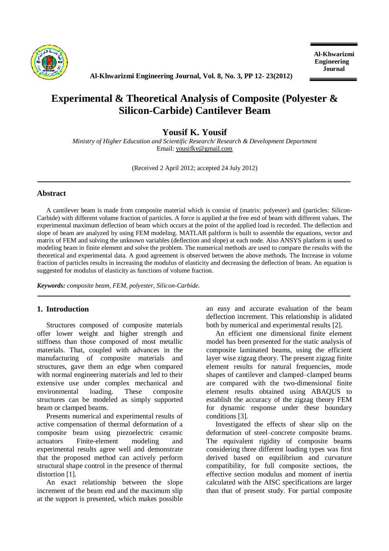

**Al-Khwarizmi Engineering Journal, Vol. 8, No. 3, PP 12- 23(2012)**

# **Experimental & Theoretical Analysis of Composite (Polyester & Silicon-Carbide) Cantilever Beam**

# **Yousif K. Yousif**

*Ministry of Higher Education and Scientific Research/ Research & Development Department*  Email: [yousifky@gmail.com](mailto:yousifky@gmail.com)

(Received 2 April 2012; accepted 24 July 2012)

# **Abstract**

A cantilever beam is made from composite material which is consist of (matrix: polyester) and (particles: Silicon-Carbide) with different volume fraction of particles. A force is applied at the free end of beam with different values. The experimental maximum deflection of beam which occurs at the point of the applied load is recorded. The deflection and slope of beam are analyzed by using FEM modeling. MATLAB paltform is built to assemble the equations, vector and matrix of FEM and solving the unknown variables (deflection and slope) at each node. Also ANSYS platform is used to modeling beam in finite element and solve the problem. The numerical methods are used to compare the results with the theoretical and experimental data. A good agreement is observed between the above methods. The Increase in volume fraction of particles results in increasing the modulus of elasticity and decreasing the deflection of beam. An equation is suggested for modulus of elasticity as functions of volume fraction.

*Keywords: composite beam, FEM, polyester, Silicon-Carbide.*

## **1. Introduction**

Structures composed of composite materials offer lower weight and higher strength and stiffness than those composed of most metallic materials. That, coupled with advances in the manufacturing of composite materials and structures, gave them an edge when compared with normal engineering materials and led to their extensive use under complex mechanical and environmental loading. These composite structures can be modeled as simply supported beam or clamped beams.

Presents numerical and experimental results of active compensation of thermal deformation of a composite beam using piezoelectric ceramic actuators Finite-element modeling and experimental results agree well and demonstrate that the proposed method can actively perform structural shape control in the presence of thermal distortion [1].

An exact relationship between the slope increment of the beam end and the maximum slip at the support is presented, which makes possible an easy and accurate evaluation of the beam deflection increment. This relationship is alidated both by numerical and experimental results [2].

An efficient one dimensional finite element model has been presented for the static analysis of composite laminated beams, using the efficient layer wise zigzag theory. The present zigzag finite element results for natural frequencies, mode shapes of cantilever and clamped–clamped beams are compared with the two-dimensional finite element results obtained using ABAQUS to establish the accuracy of the zigzag theory FEM for dynamic response under these boundary conditions [3].

Investigated the effects of shear slip on the deformation of steel–concrete composite beams. The equivalent rigidity of composite beams considering three different loading types was first derived based on equilibrium and curvature compatibility, for full composite sections, the effective section modulus and moment of inertia calculated with the AISC specifications are larger than that of present study. For partial composite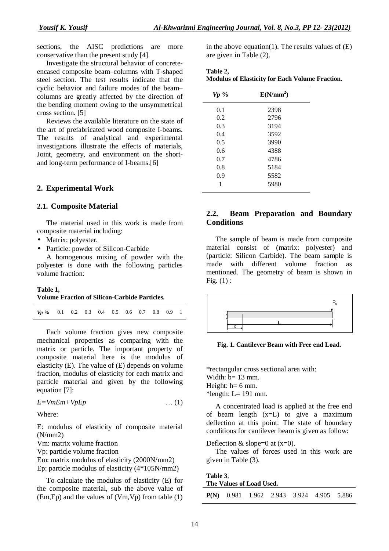sections, the AISC predictions are more conservative than the present study [4].

Investigate the structural behavior of concreteencased composite beam–columns with T-shaped steel section. The test results indicate that the cyclic behavior and failure modes of the beam– columns are greatly affected by the direction of the bending moment owing to the unsymmetrical cross section. [5]

Reviews the available literature on the state of the art of prefabricated wood composite I-beams. The results of analytical and experimental investigations illustrate the effects of materials, Joint, geometry, and environment on the shortand long-term performance of I-beams.[6]

#### **2. Experimental Work**

#### **2.1. Composite Material**

The material used in this work is made from composite material including:

- Matrix: polyester.
- Particle: powder of Silicon-Carbide

A homogenous mixing of powder with the polyester is done with the following particles volume fraction:

#### **Table 1,**

#### **Volume Fraction of Silicon-Carbide Particles.**

Each volume fraction gives new composite mechanical properties as comparing with the matrix or particle. The important property of composite material here is the modulus of elasticity (E). The value of (E) depends on volume fraction, modulus of elasticity for each matrix and particle material and given by the following equation [7]:

$$
E = VmEm + VpEp
$$
 (1)

Where:

E: modulus of elasticity of composite material (N/mm2)

Vm: matrix volume fraction

Vp: particle volume fraction

Em: matrix modulus of elasticity (2000N/mm2) Ep: particle modulus of elasticity (4\*105N/mm2)

To calculate the modulus of elasticity (E) for the composite material, sub the above value of (Em,Ep) and the values of (Vm,Vp) from table (1) in the above equation(1). The results values of  $(E)$ are given in Table (2).

| Table 2, |                                                        |  |  |
|----------|--------------------------------------------------------|--|--|
|          | <b>Modulus of Elasticity for Each Volume Fraction.</b> |  |  |

| $Vp \gamma$ | E(N/mm <sup>2</sup> ) |  |
|-------------|-----------------------|--|
| 0.1         | 2398                  |  |
| 0.2         | 2796                  |  |
| 0.3         | 3194                  |  |
| 0.4         | 3592                  |  |
| 0.5         | 3990                  |  |
| 0.6         | 4388                  |  |
| 0.7         | 4786                  |  |
| 0.8         | 5184                  |  |
| 0.9         | 5582                  |  |
| 1           | 5980                  |  |

# **2.2. Beam Preparation and Boundary Conditions**

The sample of beam is made from composite material consist of (matrix: polyester) and (particle: Silicon Carbide). The beam sample is made with different volume fraction as mentioned. The geometry of beam is shown in Fig.  $(1)$  :



**Fig. 1. Cantilever Beam with Free end Load.** 

\*rectangular cross sectional area with: Width:  $b=13$  mm. Height:  $h=6$  mm. \*length:  $L= 191$  mm.

A concentrated load is applied at the free end of beam length (x=L) to give a maximum deflection at this point. The state of boundary conditions for cantilever beam is given as follow:

Deflection  $&$  slope=0 at  $(x=0)$ .

The values of forces used in this work are given in Table (3).

**Table 3**, **The Values of Load Used.** 

|  |  | $P(N)$ 0.981 1.962 2.943 3.924 4.905 5.886 |  |
|--|--|--------------------------------------------|--|
|  |  |                                            |  |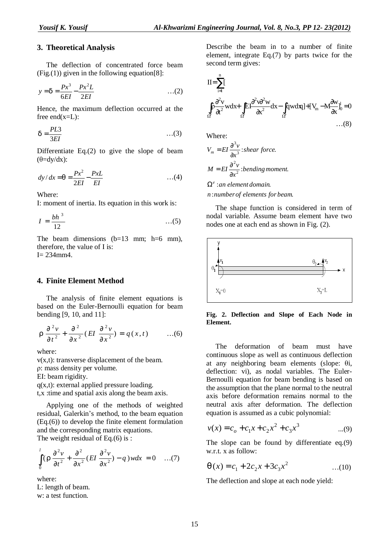### **3. Theoretical Analysis**

The deflection of concentrated force beam  $(Fig. (1))$  given in the following equation[8]:

$$
y = d = \frac{Px^3}{6EI} - \frac{Px^2L}{2EI} \qquad ...(2)
$$

Hence, the maximum deflection occurred at the free  $end(x=L)$ :

$$
d = \frac{PL3}{3EI} \tag{3}
$$

Differentiate Eq.(2) to give the slope of beam  $(\theta = dy/dx)$ :

$$
dy/dx = q = {Px^2 \over 2EI} - {PxL \over EI}
$$
 ...(4)

Where:

I: moment of inertia. Its equation in this work is:

$$
I = \frac{bh^3}{12} \qquad \qquad \dots (5)
$$

The beam dimensions  $(b=13 \text{ mm}; \text{ h}=6 \text{ mm})$ , therefore, the value of I is:  $I= 234$ mm4.

#### **4. Finite Element Method**

The analysis of finite element equations is based on the Euler-Bernoulli equation for beam bending [9, 10, and 11]:

$$
r\frac{\partial^2 v}{\partial t^2} + \frac{\partial^2}{\partial x^2} (EI \frac{\partial^2 v}{\partial x^2}) = q(x,t) \qquad ...(6)
$$

where:

v(x,t): transverse displacement of the beam. ρ: mass density per volume.

EI: beam rigidity.

 $q(x,t)$ : external applied pressure loading. t,x :time and spatial axis along the beam axis.

Applying one of the methods of weighted residual, Galerkin's method, to the beam equation (Eq.(6)) to develop the finite element formulation and the corresponding matrix equations.

The weight residual of Eq. $(6)$  is :

$$
\int_{0}^{1} \left(r \frac{\partial^2 v}{\partial t^2} + \frac{\partial^2}{\partial x^2} (EI \frac{\partial^2 v}{\partial x^2}) - q \right) w dx = 0 \quad ...(7)
$$

where:

L: length of beam. w: a test function.

Describe the beam in to a number of finite element, integrate Eq.(7) by parts twice for the second term gives:

$$
II = \sum_{i=1}^{n} I
$$
  
\n
$$
\int_{\Omega^{e}} \frac{\partial^{2} v}{\partial t^{2}} w dx + \int_{\Omega^{e}} EI \frac{\partial^{2} v \partial^{2} w}{\partial x^{2}} dx - \int_{\Omega^{e}} q w dx I + [V_{m} - M \frac{\partial w}{\partial x}]_{0}^{1} = 0
$$
  
\n...(8)

Where:

$$
V_m = EI \frac{\partial^3 v}{\partial x^3}
$$
: shear force.  

$$
M = EI \frac{\partial^2 v}{\partial x^2}
$$
: bending moment.

: . *an element domain e* Ω

: . *n number of elements for beam*

The shape function is considered in term of nodal variable. Assume beam element have two nodes one at each end as shown in Fig. (2).



**Fig. 2. Deflection and Slope of Each Node in Element.** 

The deformation of beam must have continuous slope as well as continuous deflection at any neighboring beam elements (slope: θi, deflection: vi), as nodal variables. The Euler-Bernoulli equation for beam bending is based on the assumption that the plane normal to the neutral axis before deformation remains normal to the neutral axis after deformation. The deflection equation is assumed as a cubic polynomial:

$$
v(x) = c_o + c_1 x + c_2 x^2 + c_3 x^3 \qquad \dots(9)
$$

The slope can be found by differentiate eq.(9) w.r.t. x as follow:

$$
q(x) = c_1 + 2c_2x + 3c_3x^2 \qquad \qquad ...(10)
$$

The deflection and slope at each node yield: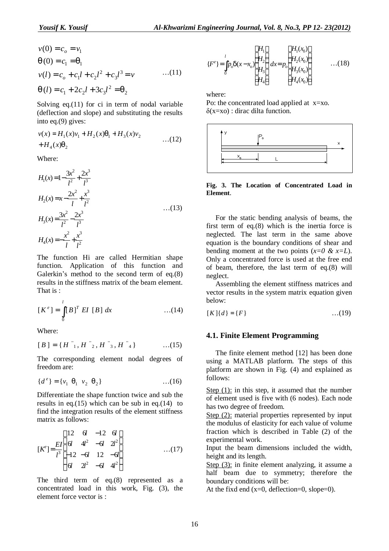$$
v(0) = c_o = v_1
$$
  
\n
$$
q(0) = c_1 = q_1
$$
  
\n
$$
v(l) = c_o + c_1 l + c_2 l^2 + c_3 l^3 = v \qquad ...(11)
$$
  
\n
$$
q(l) = c_1 + 2c_2 l + 3c_3 l^2 = q_2
$$

Solving  $eq.(11)$  for ci in term of nodal variable (deflection and slope) and substituting the results into eq.(9) gives:

$$
v(x) = H_1(x)v_1 + H_2(x)q_1 + H_3(x)v_2
$$
  
+ H<sub>4</sub>(x)q<sub>2</sub> ... (12)

Where:

$$
H_1(x) = 1 - \frac{3x^2}{l^2} + \frac{2x^3}{l^3}
$$
  
\n
$$
H_2(x) = x - \frac{2x^2}{l} + \frac{x^3}{l^2}
$$
  
\n
$$
H_3(x) = \frac{3x^2}{l^2} - \frac{2x^3}{l^3}
$$
  
\n
$$
H_4(x) = -\frac{x^2}{l} + \frac{x^3}{l^2}
$$
...(13)

The function Hi are called Hermitian shape function. Application of this function and Galerkin's method to the second term of eq.(8) results in the stiffness matrix of the beam element. That is :

$$
[K^e] = \int_0^l [B]^T EI [B] dx
$$
 ...(14)

Where:

$$
[B] = \{H^{n_1}, H^{n_2}, H^{n_3}, H^{n_4}\} \qquad \dots (15)
$$

The corresponding element nodal degrees of freedom are:

$$
\{d^e\} = \{v_1 \ q_1 \ v_2 \ q_2\} \qquad \qquad \dots (16)
$$

Differentiate the shape function twice and sub the results in eq.(15) which can be sub in eq.(14) to find the integration results of the element stiffness matrix as follows:

$$
[K^{e}] = \frac{EI}{l^{3}} \begin{bmatrix} 12 & 6l & -12 & 6l \\ 6l & 4l^{2} & -6l & 2l^{2} \\ -12 & -6l & 12 & -6l \\ 6l & 2l^{2} & -6l & 4l^{2} \end{bmatrix}
$$
...(17)

The third term of eq.(8) represented as a concentrated load in this work, Fig. (3), the element force vector is :

$$
\{F^{e}\} = \int_{0}^{l} p_{o} d(x - x_{o}) \begin{cases} H_{1} \\ H_{2} \\ H_{3} \\ H_{4} \end{cases} dx = p_{o} \begin{cases} H_{1}(x_{0}) \\ H_{2}(x_{0}) \\ H_{3}(x_{0}) \\ H_{4}(x_{0}) \end{cases} \qquad ...(18)
$$

where:

Po: the concentrated load applied at x=xo.  $\delta(x=xo)$ : dirac dilta function.



**Fig. 3. The Location of Concentrated Load in Element**.

For the static bending analysis of beams, the first term of eq.(8) which is the inertia force is neglected. The last term in the same above equation is the boundary conditions of shear and bending moment at the two points  $(x=0 \& x=L)$ . Only a concentrated force is used at the free end of beam, therefore, the last term of eq.(8) will neglect.

Assembling the element stiffness matrices and vector results in the system matrix equation given below:

$$
[K]\{d\} = \{F\} \tag{19}
$$

#### **4.1. Finite Element Programming**

The finite element method [12] has been done using a MATLAB platform. The steps of this platform are shown in Fig. (4) and explained as follows:

Step  $(1)$ : in this step, it assumed that the number of element used is five with (6 nodes). Each node has two degree of freedom.

Step (2): material properties represented by input the modulus of elasticity for each value of volume fraction which is described in Table (2) of the experimental work.

Input the beam dimensions included the width, height and its length.

Step  $(3)$ : in finite element analyzing, it assume a half beam due to symmetry; therefore the boundary conditions will be:

At the fixd end  $(x=0, \text{ deflection}=0, \text{slope}=0)$ .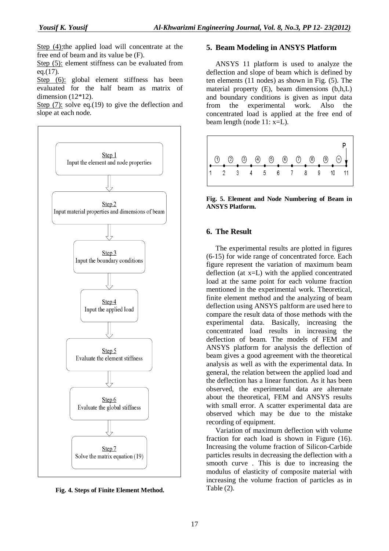Step (4):the applied load will concentrate at the free end of beam and its value be (F).

Step (5): element stiffness can be evaluated from eq. $(17)$ .

Step (6): global element stiffness has been evaluated for the half beam as matrix of dimension (12\*12).

Step (7): solve eq.(19) to give the deflection and slope at each node.



**Fig. 4. Steps of Finite Element Method.** 

### **5. Beam Modeling in ANSYS Platform**

ANSYS 11 platform is used to analyze the deflection and slope of beam which is defined by ten elements (11 nodes) as shown in Fig. (5). The material property (E), beam dimensions (b,h,L) and boundary conditions is given as input data from the experimental work. Also the concentrated load is applied at the free end of beam length (node 11: x=L).



**Fig. 5. Element and Node Numbering of Beam in ANSYS Platform.** 

#### **6. The Result**

The experimental results are plotted in figures (6-15) for wide range of concentrated force. Each figure represent the variation of maximum beam deflection (at x=L) with the applied concentrated load at the same point for each volume fraction mentioned in the experimental work. Theoretical, finite element method and the analyzing of beam deflection using ANSYS paltform are used here to compare the result data of those methods with the experimental data. Basically, increasing the concentrated load results in increasing the deflection of beam. The models of FEM and ANSYS platform for analysis the deflection of beam gives a good agreement with the theoretical analysis as well as with the experimental data. In general, the relation between the applied load and the deflection has a linear function. As it has been observed, the experimental data are alternate about the theoretical, FEM and ANSYS results with small error. A scatter experimental data are observed which may be due to the mistake recording of equipment.

Variation of maximum deflection with volume fraction for each load is shown in Figure (16). Increasing the volume fraction of Silicon-Carbide particles results in decreasing the deflection with a smooth curve . This is due to increasing the modulus of elasticity of composite material with increasing the volume fraction of particles as in Table (2).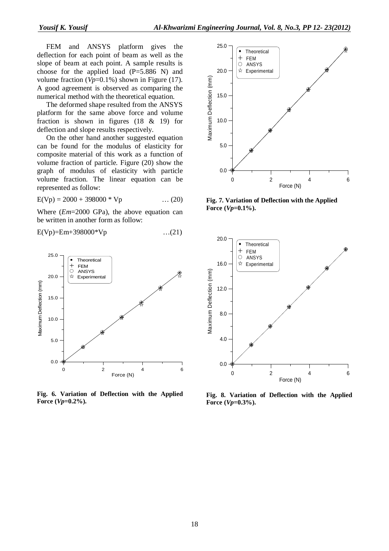FEM and ANSYS platform gives the deflection for each point of beam as well as the slope of beam at each point. A sample results is choose for the applied load  $(P=5.886 \text{ N})$  and volume fraction (*Vp*=0.1%) shown in Figure (17). A good agreement is observed as comparing the numerical method with the theoretical equation.

The deformed shape resulted from the ANSYS platform for the same above force and volume fraction is shown in figures (18 & 19) for deflection and slope results respectively.

On the other hand another suggested equation can be found for the modulus of elasticity for composite material of this work as a function of volume fraction of particle. Figure (20) show the graph of modulus of elasticity with particle volume fraction. The linear equation can be represented as follow:

 $E(Vp) = 2000 + 398000 * Vp$  ... (20)

Where (*Em*=2000 GPa), the above equation can be written in another form as follow:

$$
E(Vp)=Em+398000*Vp
$$
...(21)



**Fig. 6. Variation of Deflection with the Applied**   $Force (Vp=0.2%).$ 



**Fig. 7. Variation of Deflection with the Applied Force** (*Vp*=0.1%).



**Fig. 8. Variation of Deflection with the Applied Force (***Vp***=0.3%).**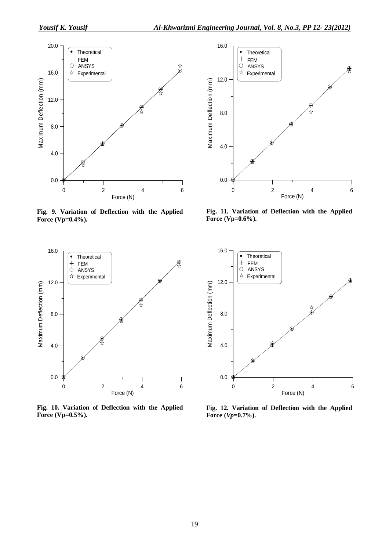

**Fig. 9. Variation of Deflection with the Applied Force (Vp=0.4%).** 



**Fig. 11. Variation of Deflection with the Applied Force (Vp=0.6%).** 



**Fig. 10. Variation of Deflection with the Applied Force (Vp=0.5%).** 



**Fig. 12. Variation of Deflection with the Applied Force** (*Vp*=0.7%).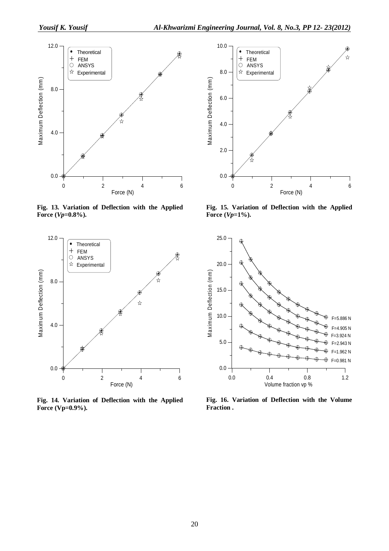

**Fig. 13. Variation of Deflection with the Applied Force** (*Vp*=0.8%).



**Fig. 14. Variation of Deflection with the Applied Force (Vp=0.9%).** 



**Fig. 15. Variation of Deflection with the Applied Force** (*Vp*=1%).



**Fig. 16. Variation of Deflection with the Volume Fraction .**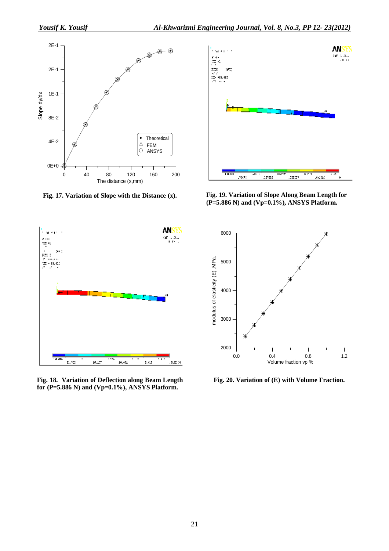

**Fig. 17. Variation of Slope with the Distance (x).** 



**Fig. 18. Variation of Deflection along Beam Length for (P=5.886 N) and (Vp=0.1%), ANSYS Platform.** 



**Fig. 19. Variation of Slope Along Beam Length for (P=5.886 N) and (Vp=0.1%), ANSYS Platform.** 



**Fig. 20. Variation of (E) with Volume Fraction.**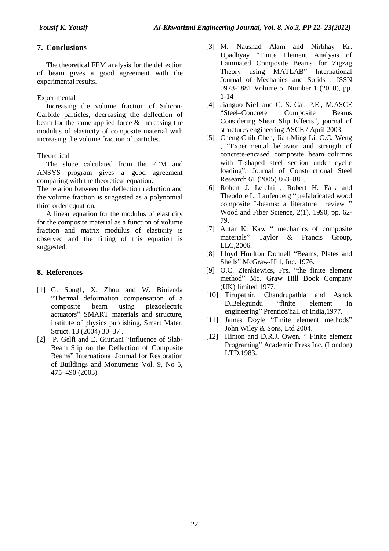# **7. Conclusions**

The theoretical FEM analysis for the deflection of beam gives a good agreement with the experimental results.

## Experimental

Increasing the volume fraction of Silicon-Carbide particles, decreasing the deflection of beam for the same applied force & increasing the modulus of elasticity of composite material with increasing the volume fraction of particles.

## Theoretical

The slope calculated from the FEM and ANSYS program gives a good agreement comparing with the theoretical equation.

The relation between the deflection reduction and the volume fraction is suggested as a polynomial third order equation.

A linear equation for the modulus of elasticity for the composite material as a function of volume fraction and matrix modulus of elasticity is observed and the fitting of this equation is suggested.

# **8. References**

- [1] G. Song1, X. Zhou and W. Binienda "Thermal deformation compensation of a composite beam using piezoelectric actuators" SMART materials and structure, institute of physics publishing, Smart Mater. Struct. 13 (2004) 30–37 .
- [2] P. Gelfi and E. Giuriani "Influence of Slab-Beam Slip on the Deflection of Composite Beams" International Journal for Restoration of Buildings and Monuments Vol. 9, No 5, 475–490 (2003)
- [3] M. Naushad Alam and Nirbhay Kr. Upadhyay "Finite Element Analysis of Laminated Composite Beams for Zigzag Theory using MATLAB" International Journal of Mechanics and Solids , ISSN 0973-1881 Volume 5, Number 1 (2010), pp. 1-14
- [4] Jianguo Nie1 and C. S. Cai, P.E., M.ASCE "Steel–Concrete Composite Beams Considering Shear Slip Effects", journal of structures engineering ASCE / April 2003.
- [5] Cheng-Chih Chen, Jian-Ming Li, C.C. Weng , "Experimental behavior and strength of concrete-encased composite beam–columns with T-shaped steel section under cyclic loading", Journal of Constructional Steel Research 61 (2005) 863–881.
- [6] Robert J. Leichti , Robert H. Falk and Theodore L. Laufenberg "prefabricated wood composite I-beams: a literature review " Wood and Fiber Science, 2(1), 1990, pp. 62- 79.
- [7] Autar K. Kaw " mechanics of composite materials" Taylor & Francis Group, LLC,2006.
- [8] Lloyd Hmilton Donnell "Beams, Plates and Shells" McGraw-Hill, Inc. 1976.
- [9] O.C. Zienkiewics, Frs. "the finite element method" Mc. Graw Hill Book Company (UK) limited 1977.
- [10] Tirupathir. Chandrupathla and Ashok D.Belegundu "finite element in engineering" Prentice/hall of India,1977.
- [11] James Doyle "Finite element methods" John Wiley & Sons, Ltd 2004.
- [12] Hinton and D.R.J. Owen. " Finite element Programing" Academic Press Inc. (London) LTD.1983.